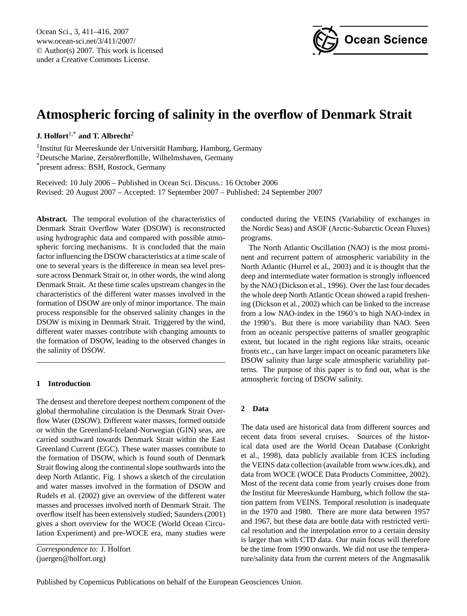

# <span id="page-0-0"></span>**Atmospheric forcing of salinity in the overflow of Denmark Strait**

**J. Holfort**1,\* **and T. Albrecht**<sup>2</sup>

<sup>1</sup> Institut für Meereskunde der Universität Hamburg, Hamburg, Germany <sup>2</sup>Deutsche Marine, Zerstörerflottille, Wilhelmshaven, Germany \*present adress: BSH, Rostock, Germany

Received: 10 July 2006 – Published in Ocean Sci. Discuss.: 16 October 2006 Revised: 20 August 2007 – Accepted: 17 September 2007 – Published: 24 September 2007

**Abstract.** The temporal evolution of the characteristics of Denmark Strait Overflow Water (DSOW) is reconstructed using hydrographic data and compared with possible atmospheric forcing mechanisms. It is concluded that the main factor influencing the DSOW characteristics at a time scale of one to several years is the difference in mean sea level pressure across Denmark Strait or, in other words, the wind along Denmark Strait. At these time scales upstream changes in the characteristics of the different water masses involved in the formation of DSOW are only of minor importance. The main process responsible for the observed salinity changes in the DSOW is mixing in Denmark Strait. Triggered by the wind, different water masses contribute with changing amounts to the formation of DSOW, leading to the observed changes in the salinity of DSOW.

## **1 Introduction**

The densest and therefore deepest northern component of the global thermohaline circulation is the Denmark Strait Overflow Water (DSOW). Different water masses, formed outside or within the Greenland-Iceland-Norwegian (GIN) seas, are carried southward towards Denmark Strait within the East Greenland Current (EGC). These water masses contribute to the formation of DSOW, which is found south of Denmark Strait flowing along the continental slope southwards into the deep North Atlantic. Fig. [1](#page-1-0) shows a sketch of the circulation and water masses involved in the formation of DSOW and [Rudels et al.](#page-5-0) [\(2002\)](#page-5-0) give an overview of the different water masses and processes involved north of Denmark Strait. The overflow itself has been extensively studied; [Saunders](#page-5-1) [\(2001\)](#page-5-1) gives a short overview for the WOCE (World Ocean Circulation Experiment) and pre-WOCE era, many studies were

*Correspondence to:* J. Holfort (juergen@holfort.org)

conducted during the VEINS (Variability of exchanges in the Nordic Seas) and ASOF (Arctic-Subarctic Ocean Fluxes) programs.

The North Atlantic Oscillation (NAO) is the most prominent and recurrent pattern of atmospheric variability in the North Atlantic [\(Hurrel et al.,](#page-5-2) [2003\)](#page-5-2) and it is thought that the deep and intermediate water formation is strongly influenced by the NAO [\(Dickson et al.,](#page-5-3) [1996\)](#page-5-3). Over the last four decades the whole deep North Atlantic Ocean showed a rapid freshening [\(Dickson et al.,](#page-5-4) [2002\)](#page-5-4) which can be linked to the increase from a low NAO-index in the 1960's to high NAO-index in the 1990's. But there is more variability than NAO. Seen from an oceanic perspective patterns of smaller geographic extent, but located in the right regions like straits, oceanic fronts etc., can have larger impact on oceanic parameters like DSOW salinity than large scale atmospheric variability patterns. The purpose of this paper is to find out, what is the atmospheric forcing of DSOW salinity.

## **2 Data**

The data used are historical data from different sources and recent data from several cruises. Sources of the historical data used are the World Ocean Database [\(Conkright](#page-5-5) [et al.,](#page-5-5) [1998\)](#page-5-5), data publicly available from ICES including the VEINS data collection (available from [www.ices.dk\)](www.ices.dk), and data from WOCE [\(WOCE Data Products Committee,](#page-5-6) [2002\)](#page-5-6). Most of the recent data come from yearly cruises done from the Institut für Meereskunde Hamburg, which follow the station pattern from VEINS. Temporal resolution is inadequate in the 1970 and 1980. There are more data between 1957 and 1967, but these data are bottle data with restricted vertical resolution and the interpolation error to a certain density is larger than with CTD data. Our main focus will therefore be the time from 1990 onwards. We did not use the temperature/salinity data from the current meters of the Angmasalik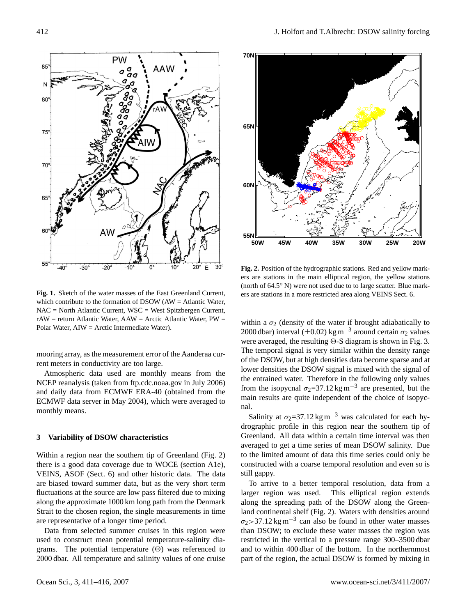

<span id="page-1-0"></span>**Fig. 1.** Sketch of the water masses of the East Greenland Current, which contribute to the formation of DSOW (AW = Atlantic Water, NAC = North Atlantic Current, WSC = West Spitzbergen Current, rAW = return Atlantic Water, AAW = Arctic Atlantic Water, PW = Polar Water, AIW = Arctic Intermediate Water).

mooring array, as the measurement error of the Aanderaa current meters in conductivity are too large.

Atmospheric data used are monthly means from the NCEP reanalysis (taken from ftp.cdc.noaa.gov in July 2006) and daily data from ECMWF ERA-40 (obtained from the ECMWF data server in May 2004), which were averaged to monthly means.

#### **3 Variability of DSOW characteristics**

Within a region near the southern tip of Greenland (Fig. [2\)](#page-1-1) there is a good data coverage due to WOCE (section A1e), VEINS, ASOF (Sect. 6) and other historic data. The data are biased toward summer data, but as the very short term fluctuations at the source are low pass filtered due to mixing along the approximate 1000 km long path from the Denmark Strait to the chosen region, the single measurements in time are representative of a longer time period.

Data from selected summer cruises in this region were used to construct mean potential temperature-salinity diagrams. The potential temperature  $(\Theta)$  was referenced to 2000 dbar. All temperature and salinity values of one cruise



<span id="page-1-1"></span>**Fig. 2.** Position of the hydrographic stations. Red and yellow markers are stations in the main elliptical region, the yellow stations (north of 64.5◦ N) were not used due to to large scatter. Blue markers are stations in a more restricted area along VEINS Sect. 6.

within a  $\sigma_2$  (density of the water if brought adiabatically to 2000 dbar) interval ( $\pm$ 0.02) kg m<sup>-3</sup> around certain  $\sigma$ <sub>2</sub> values were averaged, the resulting  $\Theta$ -S diagram is shown in Fig. [3.](#page-2-0) The temporal signal is very similar within the density range of the DSOW, but at high densities data become sparse and at lower densities the DSOW signal is mixed with the signal of the entrained water. Therefore in the following only values from the isopycnal  $\sigma_2$ =37.12 kg m<sup>-3</sup> are presented, but the main results are quite independent of the choice of isopycnal.

Salinity at  $\sigma_2$ =37.12 kg m<sup>-3</sup> was calculated for each hydrographic profile in this region near the southern tip of Greenland. All data within a certain time interval was then averaged to get a time series of mean DSOW salinity. Due to the limited amount of data this time series could only be constructed with a coarse temporal resolution and even so is still gappy.

To arrive to a better temporal resolution, data from a larger region was used. This elliptical region extends along the spreading path of the DSOW along the Greenland continental shelf (Fig. [2\)](#page-1-1). Waters with densities around  $\sigma_2$ >37.12 kg m<sup>-3</sup> can also be found in other water masses than DSOW; to exclude these water masses the region was restricted in the vertical to a pressure range 300–3500 dbar and to within 400 dbar of the bottom. In the northernmost part of the region, the actual DSOW is formed by mixing in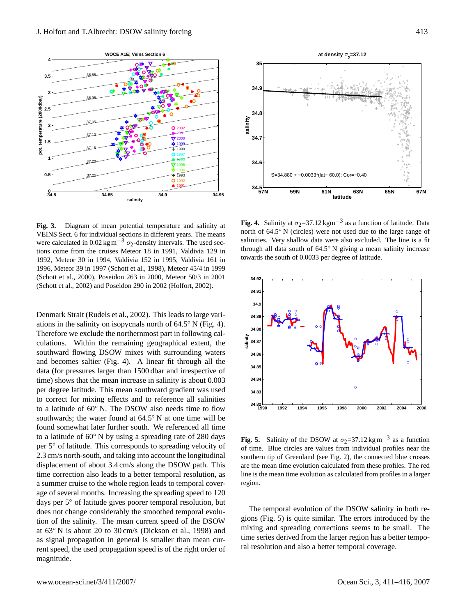

<span id="page-2-0"></span>**Fig. 3.** Diagram of mean potential temperature and salinity at VEINS Sect. 6 for individual sections in different years. The means were calculated in 0.02 kg m<sup>-3</sup>  $\sigma_2$ -density intervals. The used sections come from the cruises Meteor 18 in 1991, Valdivia 129 in 1992, Meteor 30 in 1994, Valdivia 152 in 1995, Valdivia 161 in 1996, Meteor 39 in 1997 [\(Schott et al.,](#page-5-7) [1998\)](#page-5-7), Meteor 45/4 in 1999 [\(Schott et al.,](#page-5-8) [2000\)](#page-5-8), Poseidon 263 in 2000, Meteor 50/3 in 2001 [\(Schott et al.,](#page-5-9) [2002\)](#page-5-9) and Poseidon 290 in 2002 [\(Holfort,](#page-5-10) [2002\)](#page-5-10).

Denmark Strait [\(Rudels et al.,](#page-5-0) [2002\)](#page-5-0). This leads to large variations in the salinity on isopycnals north of  $64.5°$  N (Fig. [4\)](#page-2-1). Therefore we exclude the northernmost part in following calculations. Within the remaining geographical extent, the southward flowing DSOW mixes with surrounding waters and becomes saltier (Fig. [4\)](#page-2-1). A linear fit through all the data (for pressures larger than 1500 dbar and irrespective of time) shows that the mean increase in salinity is about 0.003 per degree latitude. This mean southward gradient was used to correct for mixing effects and to reference all salinities to a latitude of 60◦ N. The DSOW also needs time to flow southwards; the water found at 64.5◦ N at one time will be found somewhat later further south. We referenced all time to a latitude of 60◦ N by using a spreading rate of 280 days per 5◦ of latitude. This corresponds to spreading velocity of 2.3 cm/s north-south, and taking into account the longitudinal displacement of about 3.4 cm/s along the DSOW path. This time correction also leads to a better temporal resolution, as a summer cruise to the whole region leads to temporal coverage of several months. Increasing the spreading speed to 120 days per 5◦ of latitude gives poorer temporal resolution, but does not change considerably the smoothed temporal evolution of the salinity. The mean current speed of the DSOW at 63◦ N is about 20 to 30 cm/s [\(Dickson et al.,](#page-5-11) [1998\)](#page-5-11) and as signal propagation in general is smaller than mean current speed, the used propagation speed is of the right order of magnitude.



<span id="page-2-1"></span>**Fig. 4.** Salinity at  $\sigma_2 = 37.12 \text{ kgm}^{-3}$  as a function of latitude. Data north of 64.5◦ N (circles) were not used due to the large range of salinities. Very shallow data were also excluded. The line is a fit through all data south of 64.5◦ N giving a mean salinity increase towards the south of 0.0033 per degree of latitude.



<span id="page-2-2"></span>**Fig. 5.** Salinity of the DSOW at  $\sigma_2 = 37.12 \text{ kg m}^{-3}$  as a function of time. Blue circles are values from individual profiles near the southern tip of Greenland (see Fig. [2\)](#page-1-1), the connected blue crosses are the mean time evolution calculated from these profiles. The red line is the mean time evolution as calculated from profiles in a larger region.

The temporal evolution of the DSOW salinity in both regions (Fig. [5\)](#page-2-2) is quite similar. The errors introduced by the mixing and spreading corrections seems to be small. The time series derived from the larger region has a better temporal resolution and also a better temporal coverage.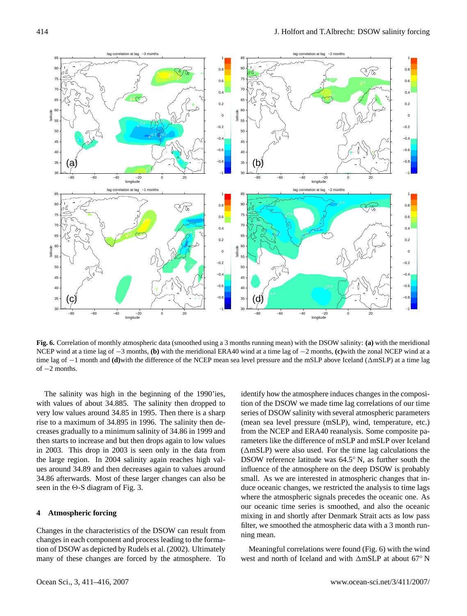<span id="page-3-0"></span>**Fig. 6.** Correlation of monthly atmospheric data (smoothed using a 3 months running mean) with the DSOW salinity: **(a)** with the meridional NCEP wind at a time lag of −3 months, **(b)** with the meridional ERA40 wind at a time lag of −2 months, **(c)**with the zonal NCEP wind at a time lag of −1 month and **(d)**with the difference of the NCEP mean sea level pressure and the mSLP above Iceland ( $\triangle$ mSLP) at a time lag of  $-2$  months.

The salinity was high in the beginning of the 1990'ies, with values of about 34.885. The salinity then dropped to very low values around 34.85 in 1995. Then there is a sharp rise to a maximum of 34.895 in 1996. The salinity then decreases gradually to a minimum salinity of 34.86 in 1999 and then starts to increase and but then drops again to low values in 2003. This drop in 2003 is seen only in the data from the large region. In 2004 salinity again reaches high values around 34.89 and then decreases again to values around 34.86 afterwards. Most of these larger changes can also be seen in the  $\Theta$ -S diagram of Fig. [3.](#page-2-0)

# **4 Atmospheric forcing**

Changes in the characteristics of the DSOW can result from changes in each component and process leading to the formation of DSOW as depicted by [Rudels et al.](#page-5-0) [\(2002\)](#page-5-0). Ultimately many of these changes are forced by the atmosphere. To identify how the atmosphere induces changes in the composition of the DSOW we made time lag correlations of our time series of DSOW salinity with several atmospheric parameters (mean sea level pressure (mSLP), wind, temperature, etc.) from the NCEP and ERA40 reanalysis. Some composite parameters like the difference of mSLP and mSLP over Iceland  $(\triangle mSLP)$  were also used. For the time lag calculations the DSOW reference latitude was 64.5◦ N, as further south the influence of the atmosphere on the deep DSOW is probably small. As we are interested in atmospheric changes that induce oceanic changes, we restricted the analysis to time lags where the atmospheric signals precedes the oceanic one. As our oceanic time series is smoothed, and also the oceanic mixing in and shortly after Denmark Strait acts as low pass filter, we smoothed the atmospheric data with a 3 month running mean.

Meaningful correlations were found (Fig. [6\)](#page-3-0) with the wind west and north of Iceland and with  $\triangle$ mSLP at about 67° N



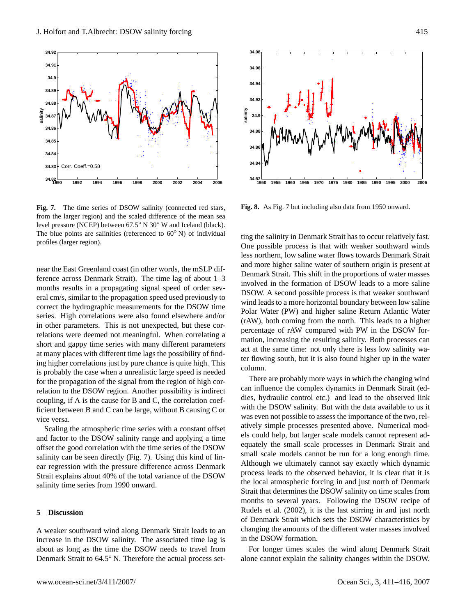

<span id="page-4-0"></span>**Fig. 7.** The time series of DSOW salinity (connected red stars, from the larger region) and the scaled difference of the mean sea level pressure (NCEP) between 67.5◦ N 30◦ W and Iceland (black). The blue points are salinities (referenced to  $60°$  N) of individual profiles (larger region).

near the East Greenland coast (in other words, the mSLP difference across Denmark Strait). The time lag of about 1–3 months results in a propagating signal speed of order several cm/s, similar to the propagation speed used previously to correct the hydrographic measurements for the DSOW time series. High correlations were also found elsewhere and/or in other parameters. This is not unexpected, but these correlations were deemed not meaningful. When correlating a short and gappy time series with many different parameters at many places with different time lags the possibility of finding higher correlations just by pure chance is quite high. This is probably the case when a unrealistic large speed is needed for the propagation of the signal from the region of high correlation to the DSOW region. Another possibility is indirect coupling, if A is the cause for B and C, the correlation coefficient between B and C can be large, without B causing C or vice versa.

Scaling the atmospheric time series with a constant offset and factor to the DSOW salinity range and applying a time offset the good correlation with the time series of the DSOW salinity can be seen directly (Fig. [7\)](#page-4-0). Using this kind of linear regression with the pressure difference across Denmark Strait explains about 40% of the total variance of the DSOW salinity time series from 1990 onward.

## **5 Discussion**

A weaker southward wind along Denmark Strait leads to an increase in the DSOW salinity. The associated time lag is about as long as the time the DSOW needs to travel from Denmark Strait to 64.5◦ N. Therefore the actual process set-



<span id="page-4-1"></span>**Fig. 8.** As Fig. [7](#page-4-0) but including also data from 1950 onward.

ting the salinity in Denmark Strait has to occur relatively fast. One possible process is that with weaker southward winds less northern, low saline water flows towards Denmark Strait and more higher saline water of southern origin is present at Denmark Strait. This shift in the proportions of water masses involved in the formation of DSOW leads to a more saline DSOW. A second possible process is that weaker southward wind leads to a more horizontal boundary between low saline Polar Water (PW) and higher saline Return Atlantic Water (rAW), both coming from the north. This leads to a higher percentage of rAW compared with PW in the DSOW formation, increasing the resulting salinity. Both processes can act at the same time: not only there is less low salinity water flowing south, but it is also found higher up in the water column.

There are probably more ways in which the changing wind can influence the complex dynamics in Denmark Strait (eddies, hydraulic control etc.) and lead to the observed link with the DSOW salinity. But with the data available to us it was even not possible to assess the importance of the two, relatively simple processes presented above. Numerical models could help, but larger scale models cannot represent adequately the small scale processes in Denmark Strait and small scale models cannot be run for a long enough time. Although we ultimately cannot say exactly which dynamic process leads to the observed behavior, it is clear that it is the local atmospheric forcing in and just north of Denmark Strait that determines the DSOW salinity on time scales from months to several years. Following the DSOW recipe of [Rudels et al.](#page-5-0) [\(2002\)](#page-5-0), it is the last stirring in and just north of Denmark Strait which sets the DSOW characteristics by changing the amounts of the different water masses involved in the DSOW formation.

For longer times scales the wind along Denmark Strait alone cannot explain the salinity changes within the DSOW.